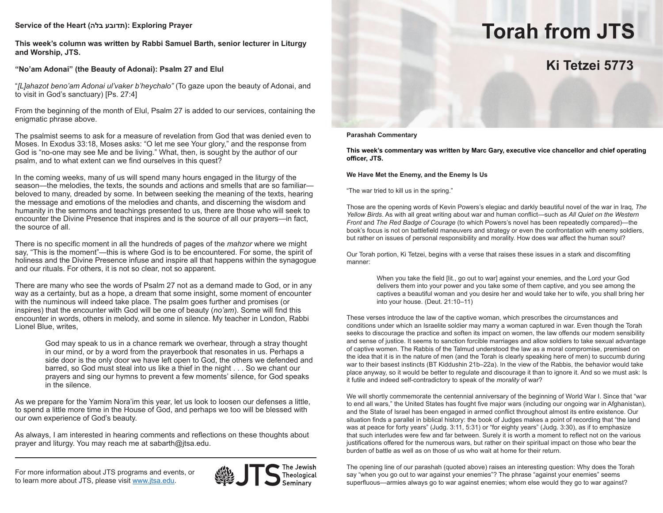# **Service of the Heart (בלה תדובע(: Exploring Prayer**

**This week's column was written by Rabbi Samuel Barth, senior lecturer in Liturgy and Worship, JTS.**

# **"No'am Adonai" (the Beauty of Adonai): Psalm 27 and Elul**

"*[L]ahazot beno'am Adonai ul'vaker b'heychalo"* (To gaze upon the beauty of Adonai, and to visit in God's sanctuary) [Ps. 27:4]

From the beginning of the month of Elul, Psalm 27 is added to our services, containing the enigmatic phrase above.

The psalmist seems to ask for a measure of revelation from God that was denied even to Moses. In Exodus 33:18, Moses asks: "O let me see Your glory," and the response from God is "no-one may see Me and be living." What, then, is sought by the author of our psalm, and to what extent can we find ourselves in this quest?

In the coming weeks, many of us will spend many hours engaged in the liturgy of the season—the melodies, the texts, the sounds and actions and smells that are so familiar beloved to many, dreaded by some. In between seeking the meaning of the texts, hearing the message and emotions of the melodies and chants, and discerning the wisdom and humanity in the sermons and teachings presented to us, there are those who will seek to encounter the Divine Presence that inspires and is the source of all our prayers—in fact, the source of all.

There is no specific moment in all the hundreds of pages of the *mahzor* where we might say, "This is the moment"—this is where God is to be encountered. For some, the spirit of holiness and the Divine Presence infuse and inspire all that happens within the synagogue and our rituals. For others, it is not so clear, not so apparent.

There are many who see the words of Psalm 27 not as a demand made to God, or in any way as a certainty, but as a hope, a dream that some insight, some moment of encounter with the numinous will indeed take place. The psalm goes further and promises (or inspires) that the encounter with God will be one of beauty (*no'am*). Some will find this encounter in words, others in melody, and some in silence. My teacher in London, Rabbi Lionel Blue, writes,

God may speak to us in a chance remark we overhear, through a stray thought in our mind, or by a word from the prayerbook that resonates in us. Perhaps a side door is the only door we have left open to God, the others we defended and barred, so God must steal into us like a thief in the night . . . So we chant our prayers and sing our hymns to prevent a few moments' silence, for God speaks in the silence.

As we prepare for the Yamim Nora'im this year, let us look to loosen our defenses a little, to spend a little more time in the House of God, and perhaps we too will be blessed with our own experience of God's beauty.

As always, I am interested in hearing comments and reflections on these thoughts about prayer and liturgy. You may reach me at sabarth@jtsa.edu.

For more information about JTS programs and events, or to learn more about JTS, please visit www.jtsa.edu.





# **Torah from JTS**

# **Ki Tetzei 5773**

**Parashah Commentary**

**This week's commentary was written by Marc Gary, executive vice chancellor and chief operating officer, JTS.**

#### **We Have Met the Enemy, and the Enemy Is Us**

"The war tried to kill us in the spring."

Those are the opening words of Kevin Powers's elegiac and darkly beautiful novel of the war in Iraq, *The Yellow Birds*. As with all great writing about war and human conflict—such as *All Quiet on the Western Front* and *The Red Badge of Courage* (to which Powers's novel has been repeatedly compared)—the book's focus is not on battlefield maneuvers and strategy or even the confrontation with enemy soldiers, but rather on issues of personal responsibility and morality. How does war affect the human soul?

Our Torah portion, Ki Tetzei, begins with a verse that raises these issues in a stark and discomfiting manner:

> When you take the field [lit., go out to war] against your enemies, and the Lord your God delivers them into your power and you take some of them captive, and you see among the captives a beautiful woman and you desire her and would take her to wife, you shall bring her into your house. (Deut. 21:10–11)

These verses introduce the law of the captive woman, which prescribes the circumstances and conditions under which an Israelite soldier may marry a woman captured in war. Even though the Torah seeks to discourage the practice and soften its impact on women, the law offends our modern sensibility and sense of justice. It seems to sanction forcible marriages and allow soldiers to take sexual advantage of captive women. The Rabbis of the Talmud understood the law as a moral compromise, premised on the idea that it is in the nature of men (and the Torah is clearly speaking here of men) to succumb during war to their basest instincts (BT Kiddushin 21b–22a). In the view of the Rabbis, the behavior would take place anyway, so it would be better to regulate and discourage it than to ignore it. And so we must ask: Is it futile and indeed self-contradictory to speak of the *morality* of war?

We will shortly commemorate the centennial anniversary of the beginning of World War I. Since that "war to end all wars," the United States has fought five major wars (including our ongoing war in Afghanistan), and the State of Israel has been engaged in armed conflict throughout almost its entire existence. Our situation finds a parallel in biblical history: the book of Judges makes a point of recording that "the land was at peace for forty years" (Judg. 3:11, 5:31) or "for eighty years" (Judg. 3:30), as if to emphasize that such interludes were few and far between. Surely it is worth a moment to reflect not on the various justifications offered for the numerous wars, but rather on their spiritual impact on those who bear the burden of battle as well as on those of us who wait at home for their return.

The opening line of our parashah (quoted above) raises an interesting question: Why does the Torah say "when you go out to war against your enemies"? The phrase "against your enemies" seems superfluous—armies always go to war against enemies; whom else would they go to war against?